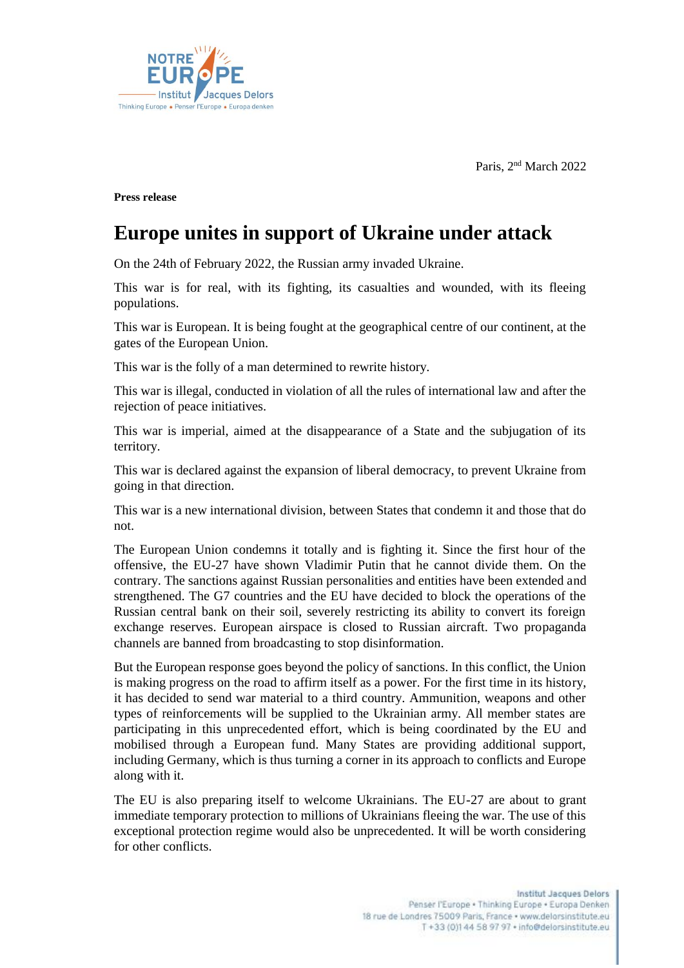Paris, 2<sup>nd</sup> March 2022



**Press release** 

## **Europe unites in support of Ukraine under attack**

On the 24th of February 2022, the Russian army invaded Ukraine.

This war is for real, with its fighting, its casualties and wounded, with its fleeing populations.

This war is European. It is being fought at the geographical centre of our continent, at the gates of the European Union.

This war is the folly of a man determined to rewrite history.

This war is illegal, conducted in violation of all the rules of international law and after the rejection of peace initiatives.

This war is imperial, aimed at the disappearance of a State and the subjugation of its territory.

This war is declared against the expansion of liberal democracy, to prevent Ukraine from going in that direction.

This war is a new international division, between States that condemn it and those that do not.

The European Union condemns it totally and is fighting it. Since the first hour of the offensive, the EU-27 have shown Vladimir Putin that he cannot divide them. On the contrary. The sanctions against Russian personalities and entities have been extended and strengthened. The G7 countries and the EU have decided to block the operations of the Russian central bank on their soil, severely restricting its ability to convert its foreign exchange reserves. European airspace is closed to Russian aircraft. Two propaganda channels are banned from broadcasting to stop disinformation.

But the European response goes beyond the policy of sanctions. In this conflict, the Union is making progress on the road to affirm itself as a power. For the first time in its history, it has decided to send war material to a third country. Ammunition, weapons and other types of reinforcements will be supplied to the Ukrainian army. All member states are participating in this unprecedented effort, which is being coordinated by the EU and mobilised through a European fund. Many States are providing additional support, including Germany, which is thus turning a corner in its approach to conflicts and Europe along with it.

The EU is also preparing itself to welcome Ukrainians. The EU-27 are about to grant immediate temporary protection to millions of Ukrainians fleeing the war. The use of this exceptional protection regime would also be unprecedented. It will be worth considering for other conflicts.